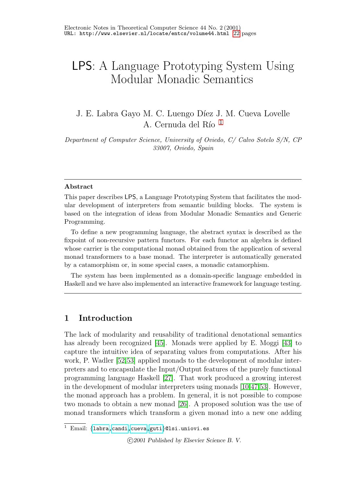# LPS: A Language Prototyping System Using Modular Monadic Semantics

J. E. Labra Gayo M. C. Luengo Díez J. M. Cueva Lovelle A. Cernuda del Río  $1$ 

<span id="page-0-0"></span>Department of Computer Science, University of Oviedo, C/ Calvo Sotelo S/N, CP 33007, Oviedo, Spain

#### Abstract

This paper describes LPS, a Language Prototyping System that facilitates the modular development of interpreters from semantic building blocks. The system is based on the integration of ideas from Modular Monadic Semantics and Generic Programming.

To define a new programming language, the abstract syntax is described as the fixpoint of non-recursive pattern functors. For each functor an algebra is defined whose carrier is the computational monad obtained from the application of several monad transformers to a base monad. The interpreter is automatically generated by a catamorphism or, in some special cases, a monadic catamorphism.

The system has been implemented as a domain-specific language embedded in Haskell and we have also implemented an interactive framework for language testing.

### 1 Introduction

The lack of modularity and reusability of traditional denotational semantics has already been recognized [\[45\]](#page-20-0). Monads were applied by E. Moggi [\[43\]](#page-20-1) to capture the intuitive idea of separating values from computations. After his work, P. Wadler [\[52](#page-21-0)[,53\]](#page-21-1) applied monads to the development of modular interpreters and to encapsulate the Input/Output features of the purely functional programming language Haskell [\[27\]](#page-19-0). That work produced a growing interest in the development of modular interpreters using monads [\[10,](#page-17-0)[47](#page-20-2)[,53\]](#page-21-1). However, the monad approach has a problem. In general, it is not possible to compose two monads to obtain a new monad [\[26\]](#page-19-1). A proposed solution was the use of monad transformers which transform a given monad into a new one adding

c 2001 Published by Elsevier Science B. V.

<sup>&</sup>lt;sup>1</sup> Email: {[labra,](mailto:labra@lsi.uniovi.es) [candi](mailto:candi@lsi.uniovi.es), cueva, [guti](mailto:guti@lsi.uniovi.es)}@lsi.uniovi.es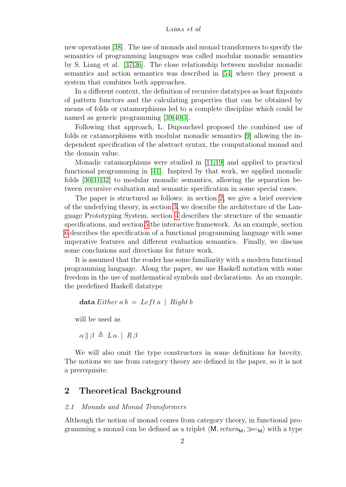#### LABRA  $et$  al

new operations [\[38\]](#page-20-3). The use of monads and monad transformers to specify the semantics of programming languages was called modular monadic semantics by S. Liang et al. [\[37,](#page-19-2)[36\]](#page-19-3). The close relationship between modular monadic semantics and action semantics was described in [\[54\]](#page-21-2) where they present a system that combines both approaches.

In a different context, the definition of recursive datatypes as least fixpoints of pattern functors and the calculating properties that can be obtained by means of folds or catamorphisms led to a complete discipline which could be named as generic programming [\[39,](#page-20-4)[40,](#page-20-5)[3\]](#page-17-1).

Following that approach, L. Duponcheel proposed the combined use of folds or catamorphisms with modular monadic semantics [\[9\]](#page-17-2) allowing the independent specification of the abstract syntax, the computational monad and the domain value.

Monadic catamorphisms were studied in [\[11,](#page-18-0)[19\]](#page-18-1) and applied to practical functional programming in [\[41\]](#page-20-6). Inspired by that work, we applied monadic folds [\[30,](#page-19-4)[31,](#page-19-5)[32\]](#page-19-6) to modular monadic semantics, allowing the separation between recursive evaluation and semantic specification in some special cases.

The paper is structured as follows: in section [2,](#page-1-0) we give a brief overview of the underlying theory, in section [3,](#page-8-0) we describe the architecture of the Language Prototyping System, section [4](#page-8-1) describes the structure of the semantic specifications, and section [5](#page-9-0) the interactive framework. As an example, section [6](#page-10-0) describes the specification of a functional programming language with some imperative features and different evaluation semantics. Finally, we discuss some conclusions and directions for future work.

It is assumed that the reader has some familiarity with a modern functional programming language. Along the paper, we use Haskell notation with some freedom in the use of mathematical symbols and declarations. As an example, the predefined Haskell datatype

$$
\mathbf{data}\,Either\,a\,b\,=\,Left\,a\,|\,Right\,b
$$

will be used as

$$
\alpha \parallel \beta \triangleq L \alpha \parallel R \beta
$$

We will also omit the type constructors in some definitions for brevity. The notions we use from category theory are defined in the paper, so it is not a prerequisite.

### <span id="page-1-0"></span>2 Theoretical Background

#### 2.1 Monads and Monad Transformers

Although the notion of monad comes from category theory, in functional programming a monad can be defined as a triplet  $\langle M, return_M, \rangle \equiv_M$  with a type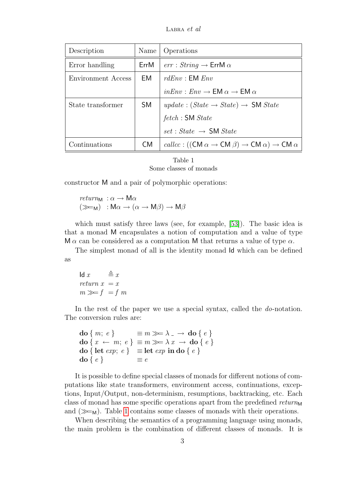LABRA  $et$  al

| Description                    | Name | Operations                                                             |  |
|--------------------------------|------|------------------------------------------------------------------------|--|
| Error handling                 | ErrM | $err : String \rightarrow ErrM \alpha$                                 |  |
| Environment Access             | EM.  | rdEnv : EM Env                                                         |  |
|                                |      | $inEnv : Env \rightarrow EM \alpha \rightarrow EM \alpha$              |  |
| State transformer<br><b>SM</b> |      | <i>update</i> : $(State \rightarrow State) \rightarrow SM State$       |  |
|                                |      | fetch : <b>SM</b> State                                                |  |
|                                |      | $set: State \rightarrow SM State$                                      |  |
| Continuations                  | CM.  | callcc: ((CM $\alpha \to CM \beta$ ) $\to CM \alpha$ ) $\to CM \alpha$ |  |

Table 1 Some classes of monads

<span id="page-2-0"></span>constructor M and a pair of polymorphic operations:

$$
return_{M} : \alpha \to M\alpha
$$
  

$$
(\ggg_{M}) : M\alpha \to (\alpha \to M\beta) \to M\beta
$$

which must satisfy three laws (see, for example, [\[53\]](#page-21-3)). The basic idea is that a monad M encapsulates a notion of computation and a value of type M  $\alpha$  can be considered as a computation M that returns a value of type  $\alpha$ .

The simplest monad of all is the identity monad Id which can be defined as

Id  $x \stackrel{\Delta}{=} x$ return  $x = x$  $m \gg f = f m$ 

In the rest of the paper we use a special syntax, called the *do*-notation. The conversion rules are:

```
\text{do} \{ m; e \} \equiv m \gg \lambda_{-} \rightarrow \text{do} \{ e \}\mathbf{do}\{x \leftarrow m; e\} \equiv m \ggg \lambda x \rightarrow \mathbf{do}\{e\}do { let exp; e } = let exp in do { e }
\mathbf{do} \{ e \} \equiv e
```
It is possible to define special classes of monads for different notions of computations like state transformers, environment access, continuations, exceptions, Input/Output, non-determinism, resumptions, backtracking, etc. Each class of monad has some specific operations apart from the predefined  $return_{M}$ and  $(\gg_{M})$ . Table [1](#page-2-0) contains some classes of monads with their operations.

When describing the semantics of a programming language using monads, the main problem is the combination of different classes of monads. It is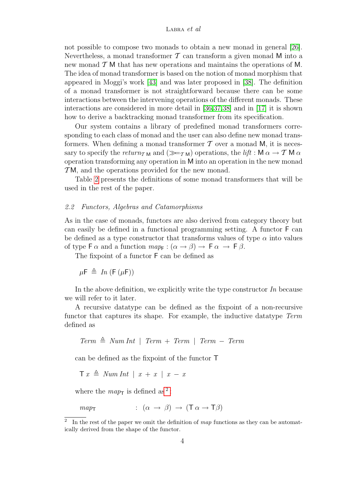not possible to compose two monads to obtain a new monad in general [\[26\]](#page-19-7). Nevertheless, a monad transformer  $\mathcal T$  can transform a given monad M into a new monad  $\mathcal{T}$  M that has new operations and maintains the operations of M. The idea of monad transformer is based on the notion of monad morphism that appeared in Moggi's work [\[43\]](#page-20-7) and was later proposed in [\[38\]](#page-20-3). The definition of a monad transformer is not straightforward because there can be some interactions between the intervening operations of the different monads. These interactions are considered in more detail in [\[36](#page-19-3)[,37](#page-19-2)[,38\]](#page-20-3) and in [\[17\]](#page-18-2) it is shown how to derive a backtracking monad transformer from its specification.

Our system contains a library of predefined monad transformers corresponding to each class of monad and the user can also define new monad transformers. When defining a monad transformer  $\mathcal T$  over a monad M, it is necessary to specify the return<sub>TM</sub> and  $(\ggg_{T_M})$  operations, the lift : M  $\alpha \to T M \alpha$ operation transforming any operation in M into an operation in the new monad  $TM$ , and the operations provided for the new monad.

Table [2](#page-4-0) presents the definitions of some monad transformers that will be used in the rest of the paper.

#### 2.2 Functors, Algebras and Catamorphisms

As in the case of monads, functors are also derived from category theory but can easily be defined in a functional programming setting. A functor F can be defined as a type constructor that transforms values of type  $\alpha$  into values of type  $\mathsf{F}\alpha$  and a function  $map_{\mathsf{F}}:(\alpha\to\beta)\to\mathsf{F}\alpha\to\mathsf{F}\beta$ .

The fixpoint of a functor F can be defined as

 $\mu \mathsf{F} \triangleq In(\mathsf{F}(\mu \mathsf{F}))$ 

In the above definition, we explicitly write the type constructor  $In$  because we will refer to it later.

A recursive datatype can be defined as the fixpoint of a non-recursive functor that captures its shape. For example, the inductive datatype Term defined as

Term 
$$
\triangleq
$$
 Num Int | Term + Term | Term - Term

can be defined as the fixpoint of the functor T

```
\top x \triangleq NumInt \mid x + x \mid x - x
```
where the  $map_{\mathsf{T}}$  is defined as<sup>[2](#page-3-0)</sup>:

$$
map_{\mathsf{T}} \qquad \qquad : \ (\alpha \to \beta) \to (\mathsf{T} \alpha \to \mathsf{T} \beta)
$$

<span id="page-3-0"></span><sup>2</sup> In the rest of the paper we omit the definition of map functions as they can be automatically derived from the shape of the functor.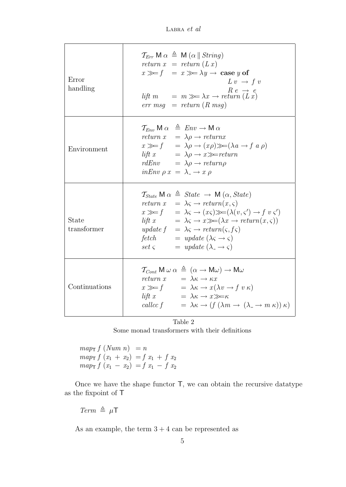LABRA et al

| Error<br>handling    | $\mathcal{T}_{Err}$ M $\alpha \triangleq M(\alpha \parallel String)$<br>return $x = return (Lx)$<br>$x \gg f = x \gg \lambda y \rightarrow \case y$ of<br>$L v \rightarrow f v$<br>$R e \rightarrow e$<br>lift $m = m \gg \lambda x \rightarrow return (L x)$<br>$err \; msg \; = \; return \; (R \; msg)$                                                                                                                                                                                                                                                                                           |
|----------------------|------------------------------------------------------------------------------------------------------------------------------------------------------------------------------------------------------------------------------------------------------------------------------------------------------------------------------------------------------------------------------------------------------------------------------------------------------------------------------------------------------------------------------------------------------------------------------------------------------|
| Environment          | $\mathcal{T}_{Env}$ M $\alpha \triangleq Env \rightarrow M \alpha$<br>return $x = \lambda \rho \rightarrow return x$<br>$x \gg f$ = $\lambda \rho \rightarrow (x \rho) \gg (\lambda a \rightarrow f a \rho)$<br>lift $x = \lambda \rho \rightarrow x \gg = return$<br>$rdEnv = \lambda \rho \rightarrow return \rho$<br>$inEnv \rho x = \lambda_- \rightarrow x \rho$                                                                                                                                                                                                                                |
| State<br>transformer | $\mathcal{T}_{State}$ M $\alpha \triangleq State \rightarrow M(\alpha, State)$<br>return $x = \lambda \varsigma \rightarrow return(x, \varsigma)$<br>$x \gg f$ = $\lambda \varsigma \rightarrow (x \varsigma) \gg (\lambda (v, \varsigma') \rightarrow f v \varsigma')$<br><i>lift</i> $x = \lambda \varsigma \rightarrow x \gg (\lambda x \rightarrow return(x, \varsigma))$<br>update $f = \lambda \varsigma \rightarrow return(\varsigma, f\varsigma)$<br>fetch $= update (\lambda \varsigma \rightarrow \varsigma)$<br>$\int \text{set } \varsigma$ = update $(\lambda_- \rightarrow \varsigma)$ |
| Continuations        | $\mathcal{T}_{Cont}$ M $\omega \alpha \triangleq (\alpha \rightarrow M\omega) \rightarrow M\omega$<br>return $x = \lambda \kappa \rightarrow \kappa x$<br>$x \gg f$ = $\lambda \kappa \to x(\lambda v \to f v \kappa)$<br>$\textit{lift}\ x\qquad \qquad =\ \lambda \kappa \rightarrow x \!\!\gg\!\!=\!\!\kappa$<br>called $f = \lambda \kappa \rightarrow (f (\lambda m \rightarrow (\lambda \rightarrow m \kappa)) \kappa)$                                                                                                                                                                        |

Table 2

Some monad transformers with their definitions

<span id="page-4-0"></span> $map_{\mathsf{T}} f \left( Num \; n \right) = n$  $map_{\mathsf{T}} f(x_1 + x_2) = f(x_1 + f(x_2))$  $map_{\mathsf{T}} f (x_1 - x_2) = f x_1 - f x_2$ 

Once we have the shape functor T, we can obtain the recursive datatype as the fixpoint of T

 $Term \triangleq \mu T$ 

As an example, the term  $3 + 4$  can be represented as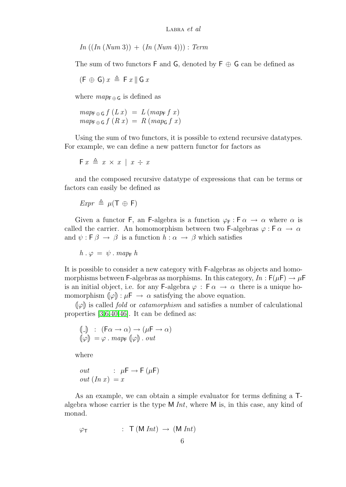$In ((In (Num 3)) + (In (Num 4))) : Term$ 

The sum of two functors  $\mathsf F$  and  $\mathsf G$ , denoted by  $\mathsf F \oplus \mathsf G$  can be defined as

$$
(\mathsf{F} \, \oplus \, \mathsf{G}) \, x \, \triangleq \, \mathsf{F} \, x \, \| \, \mathsf{G} \, x
$$

where  $map_{\textsf{F} \oplus \textsf{G}}$  is defined as

$$
map_{\mathsf{F} \oplus \mathsf{G}} f(L x) = L (map_{\mathsf{F}} f x)
$$
  

$$
map_{\mathsf{F} \oplus \mathsf{G}} f(R x) = R (map_{\mathsf{G}} f x)
$$

Using the sum of two functors, it is possible to extend recursive datatypes. For example, we can define a new pattern functor for factors as

$$
\mathsf{F} \; x \; \triangleq \; x \, \times \, x \; \mid \; x \; \div \; x
$$

and the composed recursive datatype of expressions that can be terms or factors can easily be defined as

$$
Expr \triangleq \mu(T \oplus F)
$$

Given a functor F, an F-algebra is a function  $\varphi_F : F \alpha \to \alpha$  where  $\alpha$  is called the carrier. An homomorphism between two F-algebras  $\varphi : \mathsf{F} \alpha \to \alpha$ and  $\psi : \mathsf{F} \beta \to \beta$  is a function  $h : \alpha \to \beta$  which satisfies

$$
h \cdot \varphi = \psi \cdot map_{F} h
$$

It is possible to consider a new category with F-algebras as objects and homomorphisms between F-algebras as morphisms. In this category,  $In : F(\mu) \to \mu$ F is an initial object, i.e. for any F-algebra  $\varphi : \mathsf{F} \alpha \to \alpha$  there is a unique homomorphism  $(\varphi) : \mu \to \alpha$  satisfying the above equation.

 $\llbracket \varphi \rrbracket$  is called *fold* or *catamorphism* and satisfies a number of calculational properties [\[3](#page-17-1)[,6](#page-17-3)[,40](#page-20-5)[,46\]](#page-20-8). It can be defined as:

$$
\begin{array}{ll}\n\left(\!\!\left[ \begin{smallmatrix}\n- \end{smallmatrix} \right] & \right: & \left( \mathsf{F}\alpha \to \alpha \right) \to \left( \mu \mathsf{F} \to \alpha \right) \\
\left( \varphi \right) & = \varphi \, . \, map_{\mathsf{F}} \left( \varphi \right) . \, out\n\end{array}
$$

where

$$
out : \mu \mathsf{F} \to \mathsf{F}(\mu \mathsf{F})
$$

$$
out (In x) = x
$$

As an example, we can obtain a simple evaluator for terms defining a Talgebra whose carrier is the type  $M Int$ , where  $M$  is, in this case, any kind of monad.

$$
\varphi_{\mathsf{T}} \qquad : \ \mathsf{T} \left( \mathsf{M} \text{ Int} \right) \ \rightarrow \ ( \mathsf{M} \text{ Int} )
$$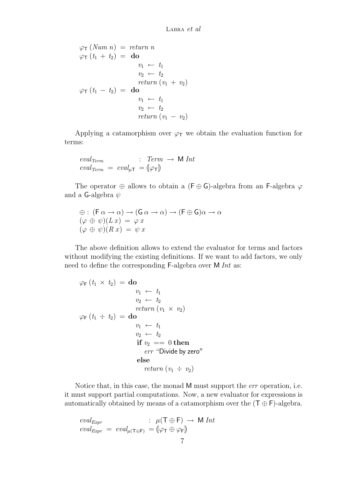$$
\varphi_{\mathsf{T}}\left( \begin{array}{c} \mathbf{Num}\ n\end{array}\right) = \text{return } n
$$
\n
$$
\varphi_{\mathsf{T}}\left( t_1 + t_2 \right) = \textbf{do}
$$
\n
$$
v_1 \leftarrow t_1
$$
\n
$$
v_2 \leftarrow t_2
$$
\n
$$
\text{return } (v_1 + v_2)
$$
\n
$$
\varphi_{\mathsf{T}}\left( t_1 - t_2 \right) = \textbf{do}
$$
\n
$$
v_1 \leftarrow t_1
$$
\n
$$
v_2 \leftarrow t_2
$$
\n
$$
\text{return } (v_1 - v_2)
$$

Applying a catamorphism over  $\varphi_T$  we obtain the evaluation function for terms:

$$
eval_{Term} : Term \rightarrow M Int
$$
  

$$
eval_{Term} = eval_{\mu\tau} = (\varphi_{\tau})
$$

The operator  $\oplus$  allows to obtain a (F  $\oplus$  G)-algebra from an F-algebra  $\varphi$ and a G-algebra  $\psi$ 

$$
\begin{array}{l}\n\oplus : (\mathsf{F} \alpha \to \alpha) \to (\mathsf{G} \alpha \to \alpha) \to (\mathsf{F} \oplus \mathsf{G})\alpha \to \alpha \\
(\varphi \oplus \psi)(Lx) = \varphi \, x \\
(\varphi \oplus \psi)(Rx) = \psi \, x\n\end{array}
$$

The above definition allows to extend the evaluator for terms and factors without modifying the existing definitions. If we want to add factors, we only need to define the corresponding F-algebra over M Int as:

$$
\varphi_{\mathsf{F}}(t_1 \times t_2) = \mathbf{do}
$$
  
\n
$$
v_1 \leftarrow t_1
$$
  
\n
$$
v_2 \leftarrow t_2
$$
  
\nreturn  $(v_1 \times v_2)$   
\n
$$
\varphi_{\mathsf{F}}(t_1 \div t_2) = \mathbf{do}
$$
  
\n
$$
v_1 \leftarrow t_1
$$
  
\n
$$
v_2 \leftarrow t_2
$$
  
\nif  $v_2 == 0$  then  
\nerr "Divide by zero"  
\nelse  
\nreturn  $(v_1 \div v_2)$ 

Notice that, in this case, the monad M must support the *err* operation, i.e. it must support partial computations. Now, a new evaluator for expressions is automatically obtained by means of a catamorphism over the  $(\mathsf{T} \oplus \mathsf{F})$ -algebra.

$$
eval_{\text{Expr}} \quad : \quad \mu(\mathsf{T} \oplus \mathsf{F}) \to \mathsf{M} \text{ Int}
$$
\n
$$
eval_{\text{Expr}} \ = \ eval_{\mu(\mathsf{T} \oplus \mathsf{F})} \ = \ (\varphi_{\mathsf{T}} \oplus \varphi_{\mathsf{F}})
$$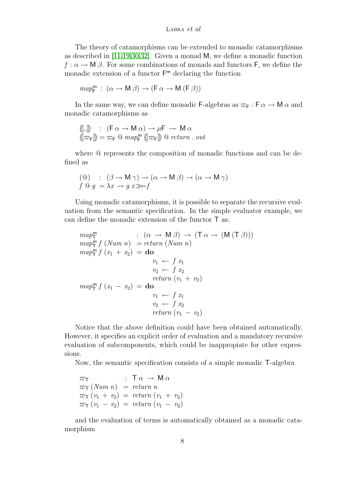#### LABRA  $et$  al

The theory of catamorphisms can be extended to monadic catamorphisms as described in [\[11](#page-18-0)[,19](#page-18-1)[,30](#page-19-4)[,32\]](#page-19-6). Given a monad M, we define a monadic function  $f: \alpha \to M$  β. For some combinations of monads and functors F, we define the monadic extension of a functor F <sup>m</sup> declaring the function

$$
\mathit{map}^\mathsf{m}_\mathsf{F}\;:\;(\alpha\to \mathsf{M}\;\beta)\to (\mathsf{F}\;\alpha\to \mathsf{M}\;(\mathsf{F}\;\beta))
$$

In the same way, we can define monadic F-algebras as  $\varpi_F : F \alpha \to M \alpha$  and monadic catamorphisms as

$$
\begin{array}{ll}\n\llbracket . \rrbracket & \colon & (\mathsf{F} \alpha \to \mathsf{M} \alpha) \to \mu \mathsf{F} \to \mathsf{M} \alpha \\
\llbracket \varpi_{\mathsf{F}} \rrbracket & = \varpi_{\mathsf{F}} \mathbb{Q} \; map_{\mathsf{F}}^{\mathsf{m}} \; (\llbracket \varpi_{\mathsf{F}} \rrbracket) \; \mathbb{Q} \; return \; . \; out\n\end{array}
$$

where @ represents the composition of monadic functions and can be defined as

$$
\begin{array}{ll} ( @) & : & (\beta \to \mathsf{M}\,\gamma) \to (\alpha \to \mathsf{M}\,\beta) \to (\alpha \to \mathsf{M}\,\gamma) \\ f @g = \lambda x \to g \ x \gg f \end{array}
$$

Using monadic catamorphisms, it is possible to separate the recursive evaluation from the semantic specification. In the simple evaluator example, we can define the monadic extension of the functor T as:

$$
map_T^m : (\alpha \to M \beta) \to (T \alpha \to (M (T \beta)))
$$
  
\n
$$
map_T^m f (Num n) = return (Num n)
$$
  
\n
$$
map_T^m f (x_1 + x_2) = do
$$
  
\n
$$
v_1 \leftarrow f x_1
$$
  
\n
$$
v_2 \leftarrow f x_2
$$
  
\n
$$
return (v_1 + v_2)
$$
  
\n
$$
map_T^m f (x_1 - x_2) = do
$$
  
\n
$$
v_1 \leftarrow f x_1
$$
  
\n
$$
v_2 \leftarrow f x_2
$$
  
\n
$$
return (v_1 - v_2)
$$

Notice that the above definition could have been obtained automatically. However, it specifies an explicit order of evaluation and a mandatory recursive evaluation of subcomponents, which could be inappropiate for other expressions.

Now, the semantic specification consists of a simple monadic T-algebra

$$
\varpi_{\mathsf{T}} : \mathsf{T} \alpha \to \mathsf{M} \alpha
$$
  
\n
$$
\varpi_{\mathsf{T}} (Num \ n) = return \ n
$$
  
\n
$$
\varpi_{\mathsf{T}} (v_1 + v_2) = return (v_1 + v_2)
$$
  
\n
$$
\varpi_{\mathsf{T}} (v_1 - v_2) = return (v_1 - v_2)
$$

and the evaluation of terms is automatically obtained as a monadic catamorphism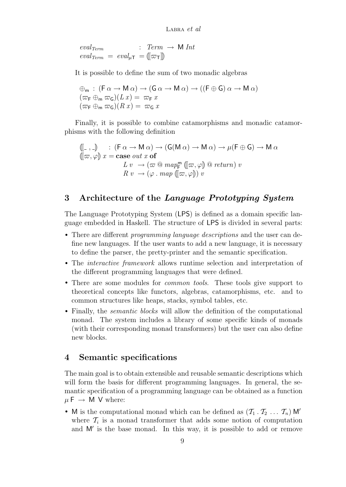$eval_{Term}$  :  $Term \rightarrow M Int$  $eval_{Term} = eval_{\mu\tau} = (\llbracket \varpi_{\tau} \rrbracket)$ 

It is possible to define the sum of two monadic algebras

$$
\begin{array}{l}\n\oplus_{\mathsf{m}} : (\mathsf{F}\alpha \to \mathsf{M}\alpha) \to (\mathsf{G}\alpha \to \mathsf{M}\alpha) \to ((\mathsf{F}\oplus \mathsf{G})\alpha \to \mathsf{M}\alpha) \\
(\varpi_{\mathsf{F}} \oplus_{\mathsf{m}} \varpi_{\mathsf{G}})(Lx) = \varpi_{\mathsf{F}} x \\
(\varpi_{\mathsf{F}} \oplus_{\mathsf{m}} \varpi_{\mathsf{G}})(Rx) = \varpi_{\mathsf{G}} x\n\end{array}
$$

Finally, it is possible to combine catamorphisms and monadic catamorphisms with the following definition

$$
\begin{array}{ll}\n\langle [\![ - , - ]\!] \rangle & : (F \alpha \to M \alpha) \to (G(M \alpha) \to M \alpha) \to \mu(F \oplus G) \to M \alpha \\
\langle [\![ \varpi, \varphi ]\!] \, x = \text{case} \, out \, x \, \text{of} \\
L \, v & \to (\varpi \otimes \, \text{map}_{F}^{m} \, ([\![ \varpi, \varphi ]\!] \otimes \text{return}) \, v \\
R \, v & \to (\varphi \, . \, \text{map} \, ([\![ \varpi, \varphi ]\!]) \, v\n\end{array}
$$

# <span id="page-8-0"></span>3 Architecture of the Language Prototyping System

The Language Prototyping System (LPS) is defined as a domain specific language embedded in Haskell. The structure of LPS is divided in several parts:

- There are different *programming language descriptions* and the user can define new languages. If the user wants to add a new language, it is necessary to define the parser, the pretty-printer and the semantic specification.
- The interactive framework allows runtime selection and interpretation of the different programming languages that were defined.
- There are some modules for *common tools*. These tools give support to theoretical concepts like functors, algebras, catamorphisms, etc. and to common structures like heaps, stacks, symbol tables, etc.
- Finally, the *semantic blocks* will allow the definition of the computational monad. The system includes a library of some specific kinds of monads (with their corresponding monad transformers) but the user can also define new blocks.

### <span id="page-8-1"></span>4 Semantic specifications

The main goal is to obtain extensible and reusable semantic descriptions which will form the basis for different programming languages. In general, the semantic specification of a programming language can be obtained as a function  $\mu \to M$  V where:

• M is the computational monad which can be defined as  $(\mathcal{T}_1, \mathcal{T}_2, \ldots, \mathcal{T}_n)$  M' where  $\mathcal{T}_i$  is a monad transformer that adds some notion of computation and M' is the base monad. In this way, it is possible to add or remove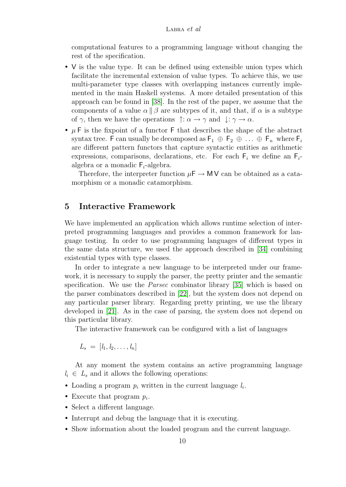computational features to a programming language without changing the rest of the specification.

- V is the value type. It can be defined using extensible union types which facilitate the incremental extension of value types. To achieve this, we use multi-parameter type classes with overlapping instances currently implemented in the main Haskell systems. A more detailed presentation of this approach can be found in [\[38\]](#page-20-3). In the rest of the paper, we assume that the components of a value  $\alpha \parallel \beta$  are subtypes of it, and that, if  $\alpha$  is a subtype of  $\gamma$ , then we have the operations  $\uparrow : \alpha \to \gamma$  and  $\downarrow : \gamma \to \alpha$ .
- $\mu$  F is the fixpoint of a functor F that describes the shape of the abstract syntax tree. F can usually be decomposed as  $\mathsf{F}_1 \oplus \mathsf{F}_2 \oplus \ldots \oplus \mathsf{F}_n$  where  $\mathsf{F}_i$ are different pattern functors that capture syntactic entities as arithmetic expressions, comparisons, declarations, etc. For each  $F_i$  we define an  $F_i$ algebra or a monadic  $F_i$ -algebra.

Therefore, the interpreter function  $\mu \rightarrow \mathsf{MV}$  can be obtained as a catamorphism or a monadic catamorphism.

### <span id="page-9-0"></span>5 Interactive Framework

We have implemented an application which allows runtime selection of interpreted programming languages and provides a common framework for language testing. In order to use programming languages of different types in the same data structure, we used the approach described in [\[34\]](#page-19-8) combining existential types with type classes.

In order to integrate a new language to be interpreted under our framework, it is necessary to supply the parser, the pretty printer and the semantic specification. We use the *Parsec* combinator library [\[35\]](#page-19-9) which is based on the parser combinators described in [\[22\]](#page-18-3), but the system does not depend on any particular parser library. Regarding pretty printing, we use the library developed in [\[21\]](#page-18-4). As in the case of parsing, the system does not depend on this particular library.

The interactive framework can be configured with a list of languages

 $L_s = [l_1, l_2, \ldots, l_n]$ 

At any moment the system contains an active programming language  $l_i \in L_s$  and it allows the following operations:

- Loading a program  $p_i$  written in the current language  $l_i$ .
- Execute that program  $p_i$ .
- Select a different language.
- Interrupt and debug the language that it is executing.
- Show information about the loaded program and the current language.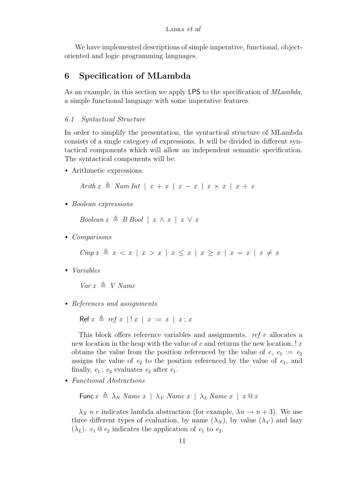We have implemented descriptions of simple imperative, functional, objectoriented and logic programming languages.

# <span id="page-10-0"></span>6 Specification of MLambda

As an example, in this section we apply LPS to the specification of *MLambda*, a simple functional language with some imperative features.

### 6.1 Syntactical Structure

In order to simplify the presentation, the syntactical structure of MLambda consists of a single category of expressions. It will be divided in different syntactical components which will allow an independent semantic specification. The syntactical components will be:

• Arithmetic expressions.

Arith  $x \triangleq Num$  Int |  $x + x$  |  $x - x$  |  $x \times x$  |  $x \div x$ 

• Boolean expressions

Boolean  $x \triangleq B$  Bool |  $x \wedge x$  |  $x \vee x$ 

• Comparisons

 $Cmp\ x \triangleq x < x \mid x > x \mid x \leq x \mid x \geq x \mid x = x \mid x \neq x$ 

• Variables

 $Var x \triangleq V$  Name

• References and assignments

Ref  $x \triangleq ref \ x \mid ! \ x \mid \ x := x \mid \ x; \ x$ 

This block offers reference variables and assignments. ref e allocates a new location in the heap with the value of  $e$  and returns the new location,  $x \cdot x$ obtains the value from the position referenced by the value of  $e, e_1 := e_2$ assigns the value of  $e_2$  to the position referenced by the value of  $e_1$ , and finally,  $e_1$ ;  $e_2$  evaluates  $e_2$  after  $e_1$ .

• Functional Abstractions

Func  $x \triangleq \lambda_N$  Name  $x \mid \lambda_V$  Name  $x \mid \lambda_L$  Name  $x \mid x \otimes x$ 

 $\lambda_X$  n e indicates lambda abstraction (for example,  $\lambda_n \to n+3$ ). We use three different types of evaluation, by name  $(\lambda_N)$ , by value  $(\lambda_V)$  and lazy  $(\lambda_L)$ .  $e_1 \t\t0 e_2$  indicates the application of  $e_1$  to  $e_2$ .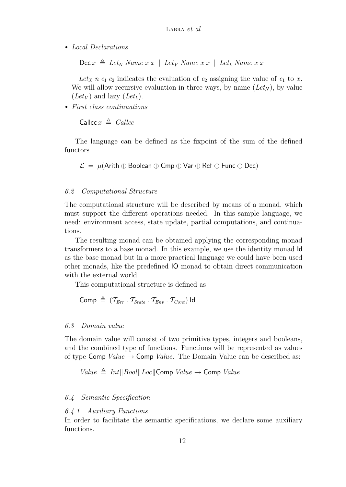• Local Declarations

 $\text{Dec } x \triangleq Let_N$  Name  $x \in I$  Let<sub>V</sub> Name  $x \in I$  Let<sub>L</sub> Name  $x \in I$ 

Let<sub>X</sub> n  $e_1$   $e_2$  indicates the evaluation of  $e_2$  assigning the value of  $e_1$  to x. We will allow recursive evaluation in three ways, by name  $(Let_N)$ , by value  $(Let_V)$  and lazy  $(Let_L)$ .

• First class continuations

$$
\mathsf{Calculate} \; x \; \triangleq \; \mathit{Calculate}
$$

The language can be defined as the fixpoint of the sum of the defined functors

 $\mathcal{L} = \mu(A$ rith  $\oplus$  Boolean  $\oplus$  Cmp  $\oplus$  Var  $\oplus$  Ref  $\oplus$  Func  $\oplus$  Dec)

### 6.2 Computational Structure

The computational structure will be described by means of a monad, which must support the different operations needed. In this sample language, we need: environment access, state update, partial computations, and continuations.

The resulting monad can be obtained applying the corresponding monad transformers to a base monad. In this example, we use the identity monad Id as the base monad but in a more practical language we could have been used other monads, like the predefined IO monad to obtain direct communication with the external world.

This computational structure is defined as

Comp  $\triangleq$  ( $\mathcal{T}_{Err}$  .  $\mathcal{T}_{State}$  .  $\mathcal{T}_{Env}$  .  $\mathcal{T}_{Cont}$ ) Id

### 6.3 Domain value

The domain value will consist of two primitive types, integers and booleans, and the combined type of functions. Functions will be represented as values of type Comp  $Value \rightarrow$  Comp Value. The Domain Value can be described as:

Value  $\triangleq Int \parallel Bool \parallel Loc \parallel$ Comp Value  $\rightarrow$  Comp Value

### 6.4 Semantic Specification

### 6.4.1 Auxiliary Functions

In order to facilitate the semantic specifications, we declare some auxiliary functions.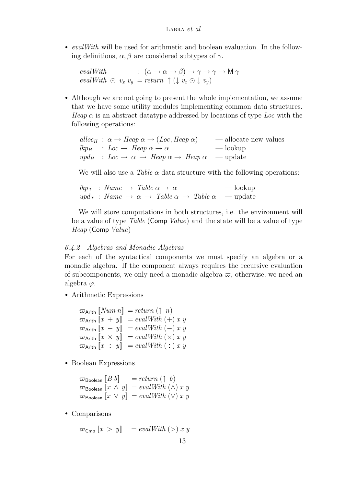• evalWith will be used for arithmetic and boolean evaluation. In the following definitions,  $\alpha$ ,  $\beta$  are considered subtypes of  $\gamma$ .

evalWith :  $(\alpha \to \alpha \to \beta) \to \gamma \to \gamma \to M \gamma$  $evalWith \odot v_x v_y = return \uparrow (\downarrow v_x \odot \downarrow v_y)$ 

• Although we are not going to present the whole implementation, we assume that we have some utility modules implementing common data structures. Heap  $\alpha$  is an abstract datatype addressed by locations of type Loc with the following operations:

|  | alloc <sub>H</sub> : $\alpha \rightarrow$ Heap $\alpha \rightarrow$ (Loc, Heap $\alpha$ )                                           | — allocate new values |
|--|-------------------------------------------------------------------------------------------------------------------------------------|-----------------------|
|  | $lkp_H : Loc \rightarrow Heap \alpha \rightarrow \alpha$                                                                            | — lookup              |
|  | $\mu p d_H : Loc \rightarrow \alpha \rightarrow \text{Heap } \alpha \rightarrow \text{Heap } \alpha \rightarrow \text{map } \alpha$ |                       |

We will also use a Table  $\alpha$  data structure with the following operations:

 $\ell k p_T$  : Name  $\rightarrow$  Table  $\alpha \rightarrow \alpha$  — lookup  $\mu_{\text{ref}}$  : Name  $\rightarrow \alpha \rightarrow \text{Table } \alpha \rightarrow \text{Table } \alpha$  — update

We will store computations in both structures, i.e. the environment will be a value of type *Table* (Comp *Value*) and the state will be a value of type Heap (Comp Value)

#### 6.4.2 Algebras and Monadic Algebras

For each of the syntactical components we must specify an algebra or a monadic algebra. If the component always requires the recursive evaluation of subcomponents, we only need a monadic algebra  $\varpi$ , otherwise, we need an algebra  $\varphi$ .

• Arithmetic Expressions

 $\varpi_{\text{Arith}}$   $\llbracket Num \, n \rrbracket = return (\uparrow n)$  $\varpi$ <sub>Arith</sub>  $\llbracket x + y \rrbracket = evalWith (+) x y$  $\varpi_{\text{Arith}} [x - y] = evalWith(-) xy$  $\varpi$ Arith  $\llbracket x \times y \rrbracket = evalWith (\times) x y$  $\varpi$ Arith  $\llbracket x \div y \rrbracket = evalWith (\div) x y$ 

• Boolean Expressions

 $\varpi_{\text{Boolean}} [B \; b] = return (\uparrow b)$  $\varpi$ Boolean  $\llbracket x \wedge y \rrbracket = evalWith (\wedge) x y$  $\varpi$ Boolean  $\llbracket x \vee y \rrbracket = evalWith (\vee) x y$ 

• Comparisons

 $\varpi_{\text{Cmp}} [x > y] = evalWith (>) x y$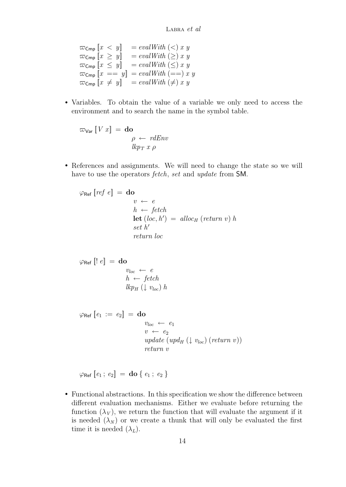$\varpi_{\mathsf{Cmp}}$   $\llbracket x < y \rrbracket = evalWith (\lt) x y$  $\varpi_{\mathsf{Cmp}} \llbracket x \geq y \rrbracket = \text{evalWith} \ (\geq) \ x \ y$  $\overline{\omega_{\mathsf{Cmp}}}$   $\left[ x \leq y \right]$  = evalWith  $\left( \leq x \right)$  $\varpi_{\textsf{Cmp}} [x == y] = evalWith (= = x y)$  $\overline{\omega}_{\text{Cmp}}$   $\overline{[x \neq y]}$  = evalWith  $(\neq)$  x y

• Variables. To obtain the value of a variable we only need to access the environment and to search the name in the symbol table.

 $\varpi_{\mathsf{Var}}\left[\!\left[ \mathit{V}\ x\right]\!\right] \,=\, \mathbf{do}$  $\rho \leftarrow$  rdEnv  $lkp_T x \rho$ 

• References and assignments. We will need to change the state so we will have to use the operators *fetch*, set and update from SM.

$$
\varphi_{\text{Ref}} [ref e] = \textbf{do}
$$
\n
$$
v \leftarrow e
$$
\n
$$
h \leftarrow fetch
$$
\n
$$
\textbf{let } (loc, h') = alloc_H (return v) h
$$
\n
$$
set h'
$$
\n
$$
return loc
$$

$$
\varphi_{\text{Ref}} [l e] = \textbf{do}
$$
  
\n
$$
v_{loc} \leftarrow e
$$
  
\n
$$
h \leftarrow fetch
$$
  
\n
$$
lkp_H (l v_{loc}) h
$$

 $\varphi$ Ref  $[e_1 := e_2] =$ **do**  $v_{loc} \leftarrow e_1$  $v \leftarrow e_2$ update  $(upd_H (\downarrow v_{loc}) (return v))$ return v

 $\varphi_{\text{Ref}} [e_1; e_2] = \text{do} \{ e_1; e_2 \}$ 

• Functional abstractions. In this specification we show the difference between different evaluation mechanisms. Either we evaluate before returning the function  $(\lambda_V)$ , we return the function that will evaluate the argument if it is needed  $(\lambda_N)$  or we create a thunk that will only be evaluated the first time it is needed  $(\lambda_L)$ .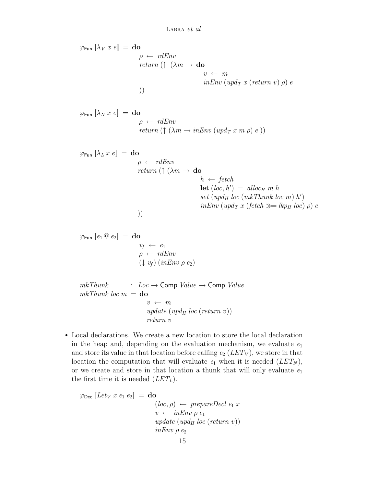$\varphi$ Fun  $\lbrack \lambda_V x \, e \rbrack =$  do  $\rho \leftarrow \textit{rdEnv}$ return ( $\uparrow$   $(\lambda m \rightarrow$  do  $v \leftarrow m$  $inEnv$  (upd<sub>T</sub> x (return v)  $\rho$ ) e ))

$$
\varphi_{\text{Fun}} [\lambda_N x e] = \textbf{do}
$$
\n
$$
\rho \leftarrow \text{rdEnv}
$$
\n
$$
\text{return } (\uparrow (\lambda m \rightarrow \text{inEnv} (\text{upd}_T x m \rho) e))
$$

$$
\varphi_{\text{Fun}} [\lambda_L x e] = \textbf{do}
$$
\n
$$
\rho \leftarrow \text{rdEnv}
$$
\n
$$
\text{return } (\uparrow (\lambda m \rightarrow \textbf{do}) h \leftarrow \text{fetch}
$$
\n
$$
\textbf{let } (loc, h') = \text{alloc}_{H} m h
$$
\n
$$
\text{set } (\text{upd}_{H} loc (\text{mk} \text{Thunk loc } m) h')
$$
\n
$$
\text{inEnv } (\text{upd}_{T} x (\text{fetch } \gg = \text{lkp}_{H} loc) \rho) e
$$

ϕFun [[e<sup>1</sup> @ e2]] = do v<sup>f</sup> ← e<sup>1</sup> ρ ← rdEnv (↓ vf) (inEnv ρ e2)

 $mkThunk$  :  $Loc \rightarrow Comp$  Value  $\rightarrow Comp$  Value  $mkThunk$  loc  $m =$  do  $v \leftarrow m$ update (upd<sub>H</sub> loc (return v)) return v

• Local declarations. We create a new location to store the local declaration in the heap and, depending on the evaluation mechanism, we evaluate  $e_1$ and store its value in that location before calling  $e_2$  ( $LET_V$ ), we store in that location the computation that will evaluate  $e_1$  when it is needed  $(LET_N)$ , or we create and store in that location a thunk that will only evaluate  $e_1$ the first time it is needed  $(LET_{L}).$ 

$$
\varphi_{\text{Dec}} [Let_V x e_1 e_2] = \textbf{do}
$$
  
\n
$$
(loc, \rho) \leftarrow prepareDecl e_1 x
$$
  
\n
$$
v \leftarrow inEnv \rho e_1
$$
  
\n
$$
update (upd_H loc (return v))
$$
  
\n
$$
inEnv \rho e_2
$$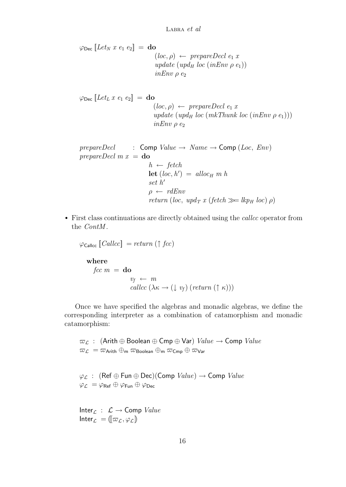$\varphi_{\text{Dec}}$  [Let<sub>N</sub> x e<sub>1</sub> e<sub>2</sub>] = do  $(loc, \rho) \leftarrow prepareDecl \ e_1 x$ update (upd<sub>H</sub> loc (inEnv  $\rho$  e<sub>1</sub>))  $inEnv \rho e_2$ 

 $\varphi_{\text{Dec}}$  [Let<sub>L</sub> x e<sub>1</sub> e<sub>2</sub>] = do  $(loc, \rho) \leftarrow prepareDecl \ e_1 x$ update (upd<sub>H</sub> loc (mkThunk loc (inEnv  $\rho$  e<sub>1</sub>)))  $inEnv \rho e_2$ 

 $prepareDecl$  : Comp  $Value \rightarrow Name \rightarrow Comp (Loc, Env)$ prepareDecl  $m x =$ **do**  $h \leftarrow \text{fetch}$  $\text{let}(loc, h') = \text{alloc}_{H} m h$ set  $h'$  $\rho \leftarrow r dEnv$ return (loc, upd<sub>T</sub> x (fetch  $\gg$  lkp<sub>H</sub> loc)  $\rho$ )

• First class continuations are directly obtained using the callcc operator from the *ContM*.

 $\varphi_{\text{Callcc}}$   $\llbracket \text{Callcc} \rrbracket = return (\uparrow \text{fcc})$ where fcc  $m =$ **do**  $v_f \leftarrow m$ callcc  $(\lambda \kappa \rightarrow (\downarrow v_f)$  (return  $(\uparrow \kappa))$ )

Once we have specified the algebras and monadic algebras, we define the corresponding interpreter as a combination of catamorphism and monadic catamorphism:

 $\varpi_L$  : (Arith ⊕ Boolean ⊕ Cmp ⊕ Var) *Value*  $\rightarrow$  Comp *Value*  $\overline{\omega}_{\mathcal{L}} = \overline{\omega}_{\mathsf{Arith}} \oplus_{\mathsf{m}} \overline{\omega}_{\mathsf{Boolean}} \oplus_{\mathsf{m}} \overline{\omega}_{\mathsf{Cmp}} \oplus \overline{\omega}_{\mathsf{Var}}$ 

 $\varphi_{\mathcal{L}}$  : (Ref  $\oplus$  Fun  $\oplus$  Dec)(Comp *Value*)  $\rightarrow$  Comp *Value*  $\varphi_{\mathcal{L}} = \varphi_{\textrm{Ref}} \oplus \varphi_{\textrm{Fun}} \oplus \varphi_{\textrm{Dec}}$ 

Inter $c : \mathcal{L} \to \text{Comp Value}$ Inter $_{\mathcal{L}} = (\lbrack \varpi_{\mathcal{L}}, \varphi_{\mathcal{L}} \rbrack)$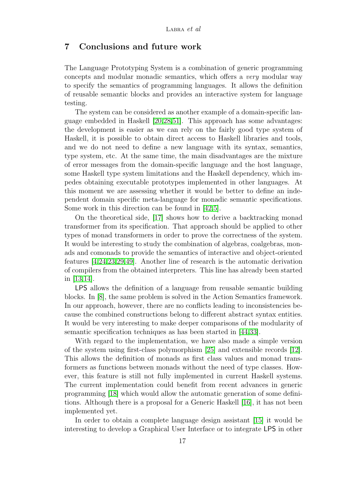## 7 Conclusions and future work

The Language Prototyping System is a combination of generic programming concepts and modular monadic semantics, which offers a very modular way to specify the semantics of programming languages. It allows the definition of reusable semantic blocks and provides an interactive system for language testing.

The system can be considered as another example of a domain-specific language embedded in Haskell [\[20,](#page-18-5)[28,](#page-19-10)[51\]](#page-21-4). This approach has some advantages: the development is easier as we can rely on the fairly good type system of Haskell, it is possible to obtain direct access to Haskell libraries and tools, and we do not need to define a new language with its syntax, semantics, type system, etc. At the same time, the main disadvantages are the mixture of error messages from the domain-specific language and the host language, some Haskell type system limitations and the Haskell dependency, which impedes obtaining executable prototypes implemented in other languages. At this moment we are assessing whether it would be better to define an independent domain specific meta-language for monadic semantic specifications. Some work in this direction can be found in [\[42,](#page-20-9)[5\]](#page-17-4).

On the theoretical side, [\[17\]](#page-18-2) shows how to derive a backtracking monad transformer from its specification. That approach should be applied to other types of monad transformers in order to prove the correctness of the system. It would be interesting to study the combination of algebras, coalgebras, monads and comonads to provide the semantics of interactive and object-oriented features [\[4](#page-17-5)[,24,](#page-19-11)[23,](#page-18-6)[29,](#page-19-12)[49\]](#page-20-10). Another line of research is the automatic derivation of compilers from the obtained interpreters. This line has already been started in [\[13](#page-18-7)[,14\]](#page-18-8).

LPS allows the definition of a language from reusable semantic building blocks. In [\[8\]](#page-17-6), the same problem is solved in the Action Semantics framework. In our approach, however, there are no conflicts leading to inconsistencies because the combined constructions belong to different abstract syntax entities. It would be very interesting to make deeper comparisons of the modularity of semantic specification techniques as has been started in [\[44,](#page-20-11)[33\]](#page-19-13).

With regard to the implementation, we have also made a simple version of the system using first-class polymorphism [\[25\]](#page-19-14) and extensible records [\[12\]](#page-18-9). This allows the definition of monads as first class values and monad transformers as functions between monads without the need of type classes. However, this feature is still not fully implemented in current Haskell systems. The current implementation could benefit from recent advances in generic programming [\[18\]](#page-18-10) which would allow the automatic generation of some definitions. Although there is a proposal for a Generic Haskell [\[16\]](#page-18-11), it has not been implemented yet.

In order to obtain a complete language design assistant [\[15\]](#page-18-12) it would be interesting to develop a Graphical User Interface or to integrate LPS in other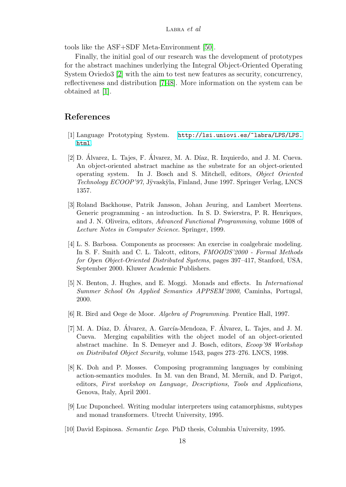tools like the ASF+SDF Meta-Environment [\[50\]](#page-21-5).

Finally, the initial goal of our research was the development of prototypes for the abstract machines underlying the Integral Object-Oriented Operating System Oviedo3 [\[2\]](#page-17-7) with the aim to test new features as security, concurrency, reflectiveness and distribution [\[7,](#page-17-8)[48\]](#page-20-12). More information on the system can be obtained at [\[1\]](#page-17-9).

# References

- <span id="page-17-9"></span>[1] Language Prototyping System. [http://lsi.uniovi.es/~labra/LPS/LPS.](http://lsi.uniovi.es/~labra/LPS/LPS.html) [html](http://lsi.uniovi.es/~labra/LPS/LPS.html).
- <span id="page-17-7"></span> $[2]$  D. Álvarez, L. Tajes, F. Álvarez, M. A. Díaz, R. Izquierdo, and J. M. Cueva. An object-oriented abstract machine as the substrate for an object-oriented operating system. In J. Bosch and S. Mitchell, editors, Object Oriented Technology ECOOP'97, Jÿvaskÿla, Finland, June 1997. Springer Verlag, LNCS 1357.
- <span id="page-17-1"></span>[3] Roland Backhouse, Patrik Jansson, Johan Jeuring, and Lambert Meertens. Generic programming - an introduction. In S. D. Swierstra, P. R. Henriques, and J. N. Oliveira, editors, Advanced Functional Programming, volume 1608 of Lecture Notes in Computer Science. Springer, 1999.
- <span id="page-17-5"></span>[4] L. S. Barbosa. Components as processes: An exercise in coalgebraic modeling. In S. F. Smith and C. L. Talcott, editors, FMOODS'2000 - Formal Methods for Open Object-Oriented Distributed Systems, pages 397–417, Stanford, USA, September 2000. Kluwer Academic Publishers.
- <span id="page-17-4"></span>[5] N. Benton, J. Hughes, and E. Moggi. Monads and effects. In International Summer School On Applied Semantics APPSEM'2000, Caminha, Portugal, 2000.
- <span id="page-17-3"></span>[6] R. Bird and Oege de Moor. Algebra of Programming. Prentice Hall, 1997.
- <span id="page-17-8"></span> $[7]$  M. A. Díaz, D. Álvarez, A. García-Mendoza, F. Álvarez, L. Tajes, and J. M. Cueva. Merging capabilities with the object model of an object-oriented abstract machine. In S. Demeyer and J. Bosch, editors, Ecoop'98 Workshop on Distributed Object Security, volume 1543, pages 273–276. LNCS, 1998.
- <span id="page-17-6"></span>[8] K. Doh and P. Mosses. Composing programming languages by combining action-semantics modules. In M. van den Brand, M. Mernik, and D. Parigot, editors, First workshop on Language, Descriptions, Tools and Applications, Genova, Italy, April 2001.
- <span id="page-17-2"></span>[9] Luc Duponcheel. Writing modular interpreters using catamorphisms, subtypes and monad transformers. Utrecht University, 1995.
- <span id="page-17-0"></span>[10] David Espinosa. Semantic Lego. PhD thesis, Columbia University, 1995.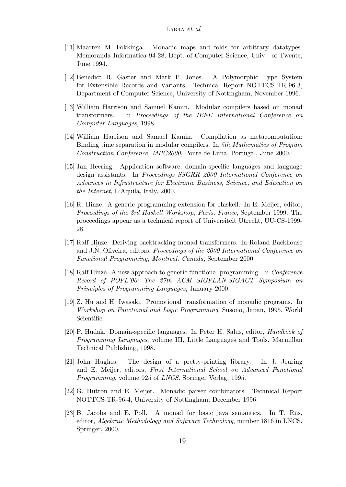- <span id="page-18-0"></span>[11] Maarten M. Fokkinga. Monadic maps and folds for arbitrary datatypes. Memoranda Informatica 94-28, Dept. of Computer Science, Univ. of Twente, June 1994.
- <span id="page-18-9"></span>[12] Benedict R. Gaster and Mark P. Jones. A Polymorphic Type System for Extensible Records and Variants. Technical Report NOTTCS-TR-96-3, Department of Computer Science, University of Nottingham, November 1996.
- <span id="page-18-7"></span>[13] William Harrison and Samuel Kamin. Modular compilers based on monad transformers. In Proceedings of the IEEE International Conference on Computer Languages, 1998.
- <span id="page-18-8"></span>[14] William Harrison and Samuel Kamin. Compilation as metacomputation: Binding time separation in modular compilers. In 5th Mathematics of Program Construction Conference, MPC2000, Ponte de Lima, Portugal, June 2000.
- <span id="page-18-12"></span>[15] Jan Heering. Application software, domain-specific languages and language design assistants. In Proceedings SSGRR 2000 International Conference on Advances in Infrastructure for Electronic Business, Science, and Education on the Internet, L'Aquila, Italy, 2000.
- <span id="page-18-11"></span>[16] R. Hinze. A generic programming extension for Haskell. In E. Meijer, editor, Proceedings of the 3rd Haskell Workshop, Paris, France, September 1999. The proceedings appear as a technical report of Universiteit Utrecht, UU-CS-1999- 28.
- <span id="page-18-2"></span>[17] Ralf Hinze. Deriving backtracking monad transformers. In Roland Backhouse and J.N. Oliveira, editors, *Proceedings of the 2000 International Conference on* Functional Programming, Montreal, Canada, September 2000.
- <span id="page-18-10"></span>[18] Ralf Hinze. A new approach to generic functional programming. In Conference Record of POPL'00: The 27th ACM SIGPLAN-SIGACT Symposium on Principles of Programming Languages, January 2000.
- <span id="page-18-1"></span>[19] Z. Hu and H. Iwasaki. Promotional transformation of monadic programs. In Workshop on Functional and Logic Programming, Susono, Japan, 1995. World Scientific.
- <span id="page-18-5"></span>[20] P. Hudak. Domain-specific languages. In Peter H. Salus, editor, Handbook of Programming Languages, volume III, Little Languages and Tools. Macmillan Technical Publishing, 1998.
- <span id="page-18-4"></span>[21] John Hughes. The design of a pretty-printing library. In J. Jeuring and E. Meijer, editors, First International School on Advanced Functional Programming, volume 925 of LNCS. Springer Verlag, 1995.
- <span id="page-18-3"></span>[22] G. Hutton and E. Meijer. Monadic parser combinators. Technical Report NOTTCS-TR-96-4, University of Nottingham, December 1996.
- <span id="page-18-6"></span>[23] B. Jacobs and E. Poll. A monad for basic java semantics. In T. Rus, editor, Algebraic Methodology and Software Technology, number 1816 in LNCS. Springer, 2000.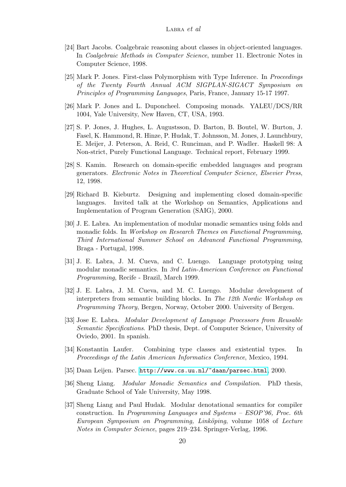- <span id="page-19-11"></span>[24] Bart Jacobs. Coalgebraic reasoning about classes in object-oriented languages. In Coalgebraic Methods in Computer Science, number 11. Electronic Notes in Computer Science, 1998.
- <span id="page-19-14"></span>[25] Mark P. Jones. First-class Polymorphism with Type Inference. In Proceedings of the Twenty Fourth Annual ACM SIGPLAN-SIGACT Symposium on Principles of Programming Languages, Paris, France, January 15-17 1997.
- <span id="page-19-7"></span><span id="page-19-1"></span>[26] Mark P. Jones and L. Duponcheel. Composing monads. YALEU/DCS/RR 1004, Yale University, New Haven, CT, USA, 1993.
- <span id="page-19-0"></span>[27] S. P. Jones, J. Hughes, L. Augustsson, D. Barton, B. Boutel, W. Burton, J. Fasel, K. Hammond, R. Hinze, P. Hudak, T. Johnsson, M. Jones, J. Launchbury, E. Meijer, J. Peterson, A. Reid, C. Runciman, and P. Wadler. Haskell 98: A Non-strict, Purely Functional Language. Technical report, February 1999.
- <span id="page-19-10"></span>[28] S. Kamin. Research on domain-specific embedded languages and program generators. Electronic Notes in Theoretical Computer Science, Elsevier Press, 12, 1998.
- <span id="page-19-12"></span>[29] Richard B. Kieburtz. Designing and implementing closed domain-specific languages. Invited talk at the Workshop on Semantics, Applications and Implementation of Program Generation (SAIG), 2000.
- <span id="page-19-4"></span>[30] J. E. Labra. An implementation of modular monadic semantics using folds and monadic folds. In Workshop on Research Themes on Functional Programming, Third International Summer School on Advanced Functional Programming, Braga - Portugal, 1998.
- <span id="page-19-5"></span>[31] J. E. Labra, J. M. Cueva, and C. Luengo. Language prototyping using modular monadic semantics. In 3rd Latin-American Conference on Functional Programming, Recife - Brazil, March 1999.
- <span id="page-19-6"></span>[32] J. E. Labra, J. M. Cueva, and M. C. Luengo. Modular development of interpreters from semantic building blocks. In The 12th Nordic Workshop on Programming Theory, Bergen, Norway, October 2000. University of Bergen.
- <span id="page-19-13"></span>[33] Jose E. Labra. Modular Development of Language Processors from Reusable Semantic Specifications. PhD thesis, Dept. of Computer Science, University of Oviedo, 2001. In spanish.
- <span id="page-19-8"></span>[34] Konstantin Laufer. Combining type classes and existential types. In Proceedings of the Latin American Informatics Conference, Mexico, 1994.
- <span id="page-19-9"></span>[35] Daan Leijen. Parsec. <http://www.cs.uu.nl/~daan/parsec.html>, 2000.
- <span id="page-19-3"></span>[36] Sheng Liang. Modular Monadic Semantics and Compilation. PhD thesis, Graduate School of Yale University, May 1998.
- <span id="page-19-2"></span>[37] Sheng Liang and Paul Hudak. Modular denotational semantics for compiler construction. In Programming Languages and Systems – ESOP'96, Proc. 6th European Symposium on Programming, Linköping, volume 1058 of Lecture Notes in Computer Science, pages 219–234. Springer-Verlag, 1996.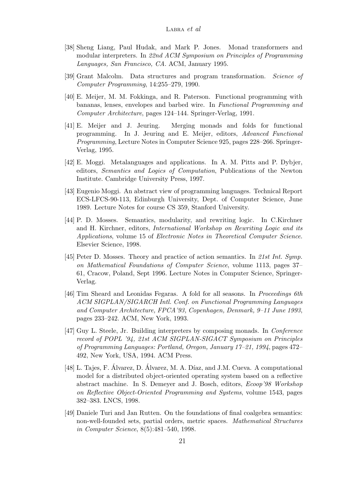- <span id="page-20-3"></span>[38] Sheng Liang, Paul Hudak, and Mark P. Jones. Monad transformers and modular interpreters. In 22nd ACM Symposium on Principles of Programming Languages, San Francisco, CA. ACM, January 1995.
- <span id="page-20-4"></span>[39] Grant Malcolm. Data structures and program transformation. Science of Computer Programming, 14:255–279, 1990.
- <span id="page-20-5"></span>[40] E. Meijer, M. M. Fokkinga, and R. Paterson. Functional programming with bananas, lenses, envelopes and barbed wire. In Functional Programming and Computer Architecture, pages 124–144. Springer-Verlag, 1991.
- <span id="page-20-6"></span>[41] E. Meijer and J. Jeuring. Merging monads and folds for functional programming. In J. Jeuring and E. Meijer, editors, Advanced Functional Programming, Lecture Notes in Computer Science 925, pages 228–266. Springer-Verlag, 1995.
- <span id="page-20-9"></span>[42] E. Moggi. Metalanguages and applications. In A. M. Pitts and P. Dybjer, editors, Semantics and Logics of Computation, Publications of the Newton Institute. Cambridge University Press, 1997.
- <span id="page-20-7"></span><span id="page-20-1"></span>[43] Eugenio Moggi. An abstract view of programming languages. Technical Report ECS-LFCS-90-113, Edinburgh University, Dept. of Computer Science, June 1989. Lecture Notes for course CS 359, Stanford University.
- <span id="page-20-11"></span>[44] P. D. Mosses. Semantics, modularity, and rewriting logic. In C.Kirchner and H. Kirchner, editors, International Workshop on Rewriting Logic and its Applications, volume 15 of Electronic Notes in Theoretical Computer Science. Elsevier Science, 1998.
- <span id="page-20-0"></span>[45] Peter D. Mosses. Theory and practice of action semantics. In 21st Int. Symp. on Mathematical Foundations of Computer Science, volume 1113, pages 37– 61, Cracow, Poland, Sept 1996. Lecture Notes in Computer Science, Springer-Verlag.
- <span id="page-20-8"></span>[46] Tim Sheard and Leonidas Fegaras. A fold for all seasons. In Proceedings 6th ACM SIGPLAN/SIGARCH Intl. Conf. on Functional Programming Languages and Computer Architecture, FPCA'93, Copenhagen, Denmark, 9–11 June 1993, pages 233–242. ACM, New York, 1993.
- <span id="page-20-2"></span>[47] Guy L. Steele, Jr. Building interpreters by composing monads. In Conference record of POPL '94, 21st ACM SIGPLAN-SIGACT Symposium on Principles of Programming Languages: Portland, Oregon, January 17–21, 1994, pages 472– 492, New York, USA, 1994. ACM Press.
- <span id="page-20-12"></span> $[48]$  L. Tajes, F. Alvarez, D. Alvarez, M. A. Díaz, and J.M. Cueva. A computational model for a distributed object-oriented operating system based on a reflective abstract machine. In S. Demeyer and J. Bosch, editors, Ecoop'98 Workshop on Reflective Object-Oriented Programming and Systems, volume 1543, pages 382–383. LNCS, 1998.
- <span id="page-20-10"></span>[49] Daniele Turi and Jan Rutten. On the foundations of final coalgebra semantics: non-well-founded sets, partial orders, metric spaces. Mathematical Structures in Computer Science, 8(5):481–540, 1998.